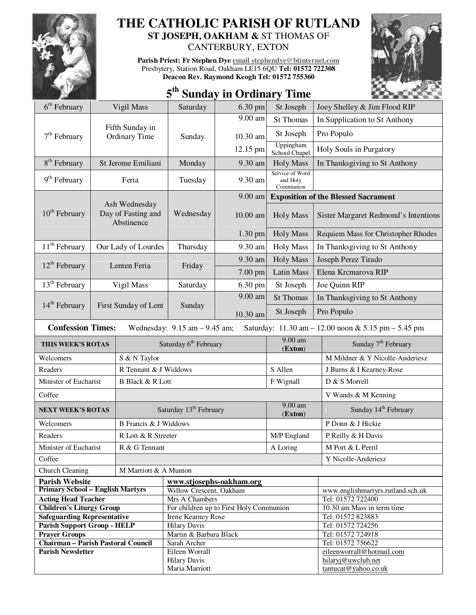

## **THE CATHOLIC PARISH OF RUTLAND**

**ST JOSEPH, OAKHAM &** ST THOMAS OF CANTERBURY, EXTON

**Parish Priest: Fr Stephen Dye email stephendye@btinternet.com** Presbytery, Station Road, Oakham LE15 6QU **Tel: 01572 722308 Deacon Rev. Raymond Keogh Tel: 01572 755360** 



|  |  |  | 5 <sup>th</sup> Sunday in Ordinary Time |  |
|--|--|--|-----------------------------------------|--|
|--|--|--|-----------------------------------------|--|

| 6 <sup>th</sup> February                                                                                            |       | Vigil Mass                                        | Saturday                                      | 6.30 pm                                 | St Joseph                                | Joey Shelley & Jim Flood RIP                |  |
|---------------------------------------------------------------------------------------------------------------------|-------|---------------------------------------------------|-----------------------------------------------|-----------------------------------------|------------------------------------------|---------------------------------------------|--|
|                                                                                                                     |       |                                                   |                                               | 9.00 am                                 | <b>St Thomas</b>                         | In Supplication to St Anthony               |  |
| $7th$ February                                                                                                      |       | Fifth Sunday in<br>Ordinary Time                  | Sunday                                        | 10.30 am                                | St Joseph                                | Pro Populo                                  |  |
|                                                                                                                     |       |                                                   |                                               | 12.15 pm                                | Uppingham<br>School Chapel               | Holy Souls in Purgatory                     |  |
| 8 <sup>th</sup> February                                                                                            |       | St Jerome Emiliani                                | Monday                                        | 9.30 am                                 | <b>Holy Mass</b>                         | In Thanksgiving to St Anthony               |  |
| $9th$ February                                                                                                      | Feria |                                                   | Tuesday                                       | 9.30 am                                 | Service of Word<br>and Holy<br>Communion |                                             |  |
|                                                                                                                     |       |                                                   |                                               | 9.00 am                                 |                                          | <b>Exposition of the Blessed Sacrament</b>  |  |
| $10^{th}$ February                                                                                                  |       | Ash Wednesday<br>Day of Fasting and<br>Abstinence | Wednesday                                     | $10.00$ am                              | <b>Holy Mass</b>                         | <b>Sister Margaret Redmond's Intentions</b> |  |
|                                                                                                                     |       |                                                   |                                               | 1.30 pm                                 | <b>Holy Mass</b>                         | Requiem Mass for Christopher Rhodes         |  |
| 11 <sup>th</sup> February                                                                                           |       | Our Lady of Lourdes                               | Thursday                                      | 9.30 am                                 | <b>Holy Mass</b>                         | In Thanksgiving to St Anthony               |  |
|                                                                                                                     |       |                                                   |                                               | 9.30 am                                 | <b>Holy Mass</b>                         | Joseph Perez Tirado                         |  |
| $12^{th}$ February<br>Lenten Feria                                                                                  |       |                                                   | Friday                                        | 7.00 pm                                 | <b>Latin Mass</b>                        | Elena Krcmarova RIP                         |  |
| $13th$ February                                                                                                     |       | Vigil Mass                                        | Saturday                                      | 6.30 pm                                 | St Joseph                                | Joe Quinn RIP                               |  |
|                                                                                                                     |       |                                                   |                                               | 9.00 am                                 | <b>St Thomas</b>                         | In Thanksgiving to St Anthony               |  |
| $14th$ February<br>First Sunday of Lent                                                                             |       |                                                   | Sunday                                        | 10.30 am                                | St Joseph                                | Pro Populo                                  |  |
| <b>Confession Times:</b><br>Wednesday: $9.15$ am $-9.45$ am;<br>Saturday: 11.30 am - 12.00 noon & 5.15 pm - 5.45 pm |       |                                                   |                                               |                                         |                                          |                                             |  |
|                                                                                                                     |       |                                                   |                                               |                                         |                                          |                                             |  |
| THIS WEEK'S ROTAS                                                                                                   |       |                                                   | Saturday 6 <sup>th</sup> February             |                                         | $9.00$ am<br>(Exton)                     | Sunday 7 <sup>th</sup> February             |  |
| Welcomers                                                                                                           |       | S & N Taylor                                      |                                               |                                         |                                          | M Mildner & Y Nicolle-Anderiesz             |  |
| Readers                                                                                                             |       | R Tennant & J Widdows                             |                                               |                                         | S Allen                                  | J Burns & I Kearney-Rose                    |  |
| Minister of Eucharist                                                                                               |       | <b>B Black &amp; R Lott</b>                       |                                               |                                         | F Wignall                                | D & S Morrell                               |  |
| Coffee                                                                                                              |       |                                                   |                                               |                                         |                                          | V Wands & M Kenning                         |  |
| <b>NEXT WEEK'S ROTAS</b>                                                                                            |       |                                                   | Saturday 13 <sup>th</sup> February            |                                         | 9.00 am<br>(Exton)                       | Sunday 14 <sup>th</sup> February            |  |
| Welcomers                                                                                                           |       | <b>B</b> Francis & J Widdows                      |                                               |                                         |                                          | P Donn & J Hickie                           |  |
| Readers                                                                                                             |       | R Lott & R Streeter                               |                                               |                                         | M/P England                              | P Reilly & H Davis                          |  |
| Minister of Eucharist                                                                                               |       | R & G Tennant                                     |                                               |                                         | A Loring                                 | M Port & L Perril                           |  |
| Coffee                                                                                                              |       |                                                   |                                               |                                         |                                          | Y Nicolle-Anderiesz                         |  |
| <b>Church Cleaning</b>                                                                                              |       | M Marriott & A Munton                             |                                               |                                         |                                          |                                             |  |
| <b>Parish Website</b>                                                                                               |       |                                                   | www.stjosephs-oakham.org                      |                                         |                                          |                                             |  |
| <b>Primary School - English Martyrs</b>                                                                             |       |                                                   | Willow Crescent, Oakham                       |                                         |                                          | www.englishmartyrs.rutland.sch.uk           |  |
| <b>Acting Head Teacher</b>                                                                                          |       |                                                   | Mrs A Chambers                                |                                         |                                          | Tel: 01572 722400                           |  |
| <b>Children's Liturgy Group</b>                                                                                     |       |                                                   |                                               | For children up to First Holy Communion |                                          | 10.30 am Mass in term time                  |  |
| <b>Safeguarding Representative</b>                                                                                  |       |                                                   | Irene Kearney Rose                            |                                         |                                          | Tel: 01572 823883                           |  |
| <b>Parish Support Group - HELP</b><br><b>Prayer Groups</b>                                                          |       |                                                   | <b>Hilary Davis</b><br>Martin & Barbara Black |                                         |                                          | Tel: 01572 724256<br>Tel: 01572 724918      |  |
| Chairman - Parish Pastoral Council                                                                                  |       |                                                   | Sarah Archer                                  |                                         |                                          | Tel: 01572 756622                           |  |
| <b>Parish Newsletter</b>                                                                                            |       |                                                   | Eileen Worrall                                |                                         |                                          | eileenworrall@hotmail.com                   |  |
|                                                                                                                     |       |                                                   | <b>Hilary Davis</b><br>Maria Marriott         |                                         |                                          | hilaryj@uwclub.net<br>tantucat@yahoo.co.uk  |  |